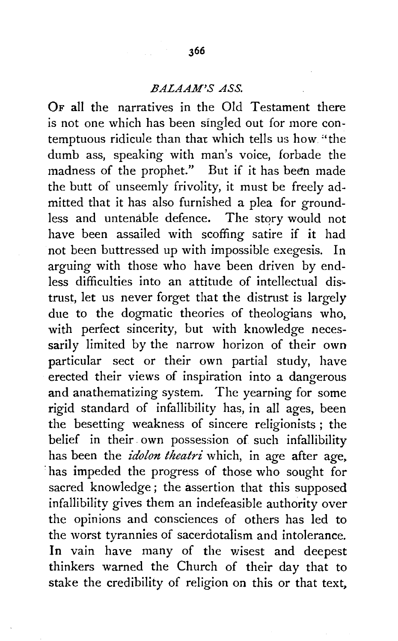## *BALAAM'S ASS.*

OF all the narratives in the Old Testament there is not one which has been singled out for more contemptuous ridicule than that which tells us how. "the dumb ass, speaking with man's voice, forbade the madness of the prophet." But if it has been made the butt of unseemly frivolity, it must be freely admitted that it has also furnished a plea for groundless and untenable defence. The story would not have been assailed with scoffing satire if it had not been buttressed up with impossible exegesis. In arguing with those who have been driven by endless difficulties into an attitude of intellectual dis.\_ trust, let us never forget that the distrust is largely due to the dogmatic theories of theologians who, with perfect sincerity, but with knowledge necessarily limited by the narrow horizon of their own particular sect or their own partial study, have erected their views of inspiration into a dangerous and anathematizing system. The yearning for some rigid standard of infallibility has, in all ages, been the besetting weakness of sincere religionists ; the belief in their. own possession of such infallibility has been the *idolon theatri* which, in age after age, ·has impeded the progress of those who sought for sacred knowledge; the assertion that this supposed infallibility gives them an indefeasible authority over the opinions and consciences of others has led to the worst tyrannies of sacerdotalism and intolerance. In vain have many of the wisest and deepest thinkers warned the Church of their day that to stake the credibility of religion on this or that text,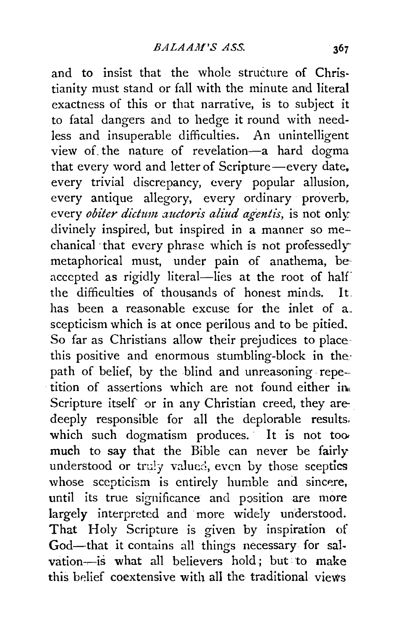and to insist that the whole structure of Christianity must stand or fall with the minute and literal exactness of this or that narrative, is to subject it to fatal dangers and to hedge it round with needless and insuperable difficulties. An unintelligent view of. the nature of revelation-a hard dogma that every word and letter of Scripture-every date. every trivial discrepancy, every popular allusion, every antique allegory, every ordinary proverb, every *obiter dictum auctoris aliud agentis*, is not only divinely inspired, but inspired in a manner so mechanical ·that every phrase which is not professedlymetaphorical must, under pain of anathema, be· accepted as rigidly literal-lies at the root of half the difficulties of thousands of honest minds. It. has been a reasonable excuse for the inlet of a\_ scepticism which is at once perilous and to be pitied. So far as Christians allow their prejudices to placethis positive and enormous stumbling-block in the. path of belief, by the blind and unreasoning repe- $\frac{1}{10}$  tition of assertions which are not found either in Scripture itself or in any Christian creed, they are. deeply responsible for all the deplorable results. which such dogmatism produces. It is not too much to say that the Bible can never be fairly understood or truly valued, even by those sceptics whose scepticism is entirely humble and sincere, until its true significance and position are more largely interpreted and more widely understood. That Holy Scripture is given by inspiration of God-that it contains all things necessary for salvation-is what all believers hold; but to make this belief coextensive with all the traditional views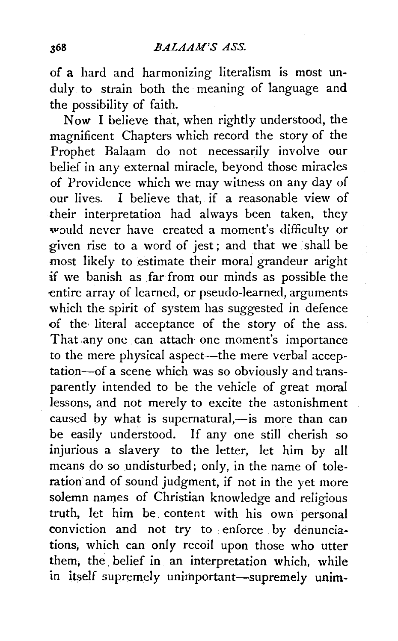of a hard and harmonizing literalism is most unduly to strain both the meaning of language and the possibility of faith.

Now I believe that, when rightly understood, the magnificent Chapters which record the story of the Prophet Balaam do not necessarily involve our belief in any external miracle, beyond those miracles of Providence which we may witness on any day of our lives. I believe that, if a reasonable view of their interpretation had always been taken, they would never have created a moment's difficulty or given rise to a word of jest; and that we , shall be most likely to estimate their moral grandeur aright :if we banish as far from our minds as possible the entire array of learned, or pseudo-learned, arguments which the spirit of system has suggested in defence of the literal acceptance of the story of the ass. That any one can attach one moment's importance to the mere physical aspect-the mere verbal acceptation-of a scene which was so obviously and transparently intended to be the vehicle of great moral lessons, and not merely to excite the astonishment caused by what is supernatural,-is more than can be easily understood. If any one still cherish so injurious a slavery to the letter, let him by all means do so undisturbed; only, in the name of toleration and of sound judgment, if not in the yet more solemn names of Christian knowledge and religious truth, let him be. content with his own personal conviction and not try to enforce by denunciations, which can only recoil upon those who utter them, the, belief in an interpretation which, while in itself supremely unimportant-supremely unim-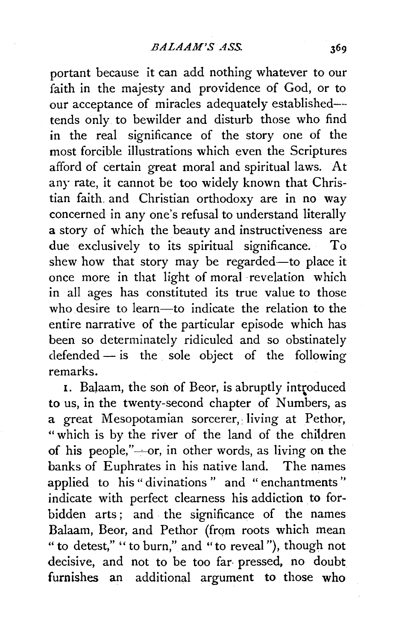portant because it can add nothing whatever to our faith in the majesty and providence of God, or to our acceptance of miracles adequately established-- tends only to bewilder and disturb those who find in the real significance of the story one of the most forcible illustrations which even the Scriptures afford of certain great moral and spiritual laws. At any rate, it cannot be too widely known that Christian faith. and Christian orthodoxy are in no way concerned in any one's refusal to understand literally a story of which the beauty and instructiveness are due exclusively to its spiritual significance. To shew how that story may be regarded-to place it once more in that light of moral revelation which in all ages has constituted its true value to those who desire to learn—to indicate the relation to the entire narrative of the particular episode which has been so determinately ridiculed and so obstinately  $defended - is the sole object of the following$ remarks.

1. Balaam, the son of Beor, is abruptly introduced to us, in the twenty-second chapter of Numbers, as a great Mesopotamian sorcerer, living at Pethor, " which is by the river of the land of the children of his people," $\rightarrow$ or, in other words, as living on the banks of Euphrates in his native land. The names applied to his "divinations " and " enchantments'' indicate with perfect clearness his addiction to forbidden arts; and the significance of the names Balaam, Beor, and Pethor (from roots which mean " to detest," '' to burn," and "to reveal "), though not decisive, and not to be too far· pressed, no doubt furnishes an additional argument to those who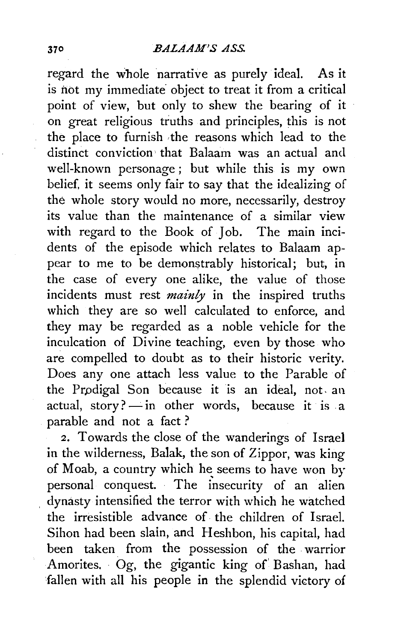regard the whole narrative as purely ideal. As it is not my immediate object to treat it from a critical point of view, but only to shew the bearing of it on great religious truths and principles, this is not the place to furnish ·the reasons which lead to the distinct conviction that Balaam was an actual and well-known personage ; but while this is my own belief, it seems only fair to say that the idealizing of the whole story would no more, necessarily, destroy its value than the maintenance of a similar view with regard to the Book of Job. The main incidents of the episode which relates to Balaam appear to me to be demonstrably historical; but, in the case of every one alike, the value of those incidents must rest *mainly* in the inspired truths which they are so well calculated to enforce, and they may be regarded as a noble vehicle for the inculcation of Divine teaching, even by those who are compelled to doubt as to their historic verity. Does any one attach less value to the Parable of the Prpdigal Son because it is an ideal, not. an actual, story? $-\text{in}$  other words, because it is a parable and not a fact ?

2. Towards the close of the wanderings of Israel in the wilderness, Balak, the son of Zippor, was king of Moab, a country which he seems to have won by personal conquest. The insecurity of an alien dynasty intensified the terror with which he watched the irresistible advance of the children of Israel. Sihon had been slain, and Heshbon, his capital, had been taken from the possession of the warrior Amorites. Og, the gigantic king of' Bashan, had fallen with all his people in the splendid victory of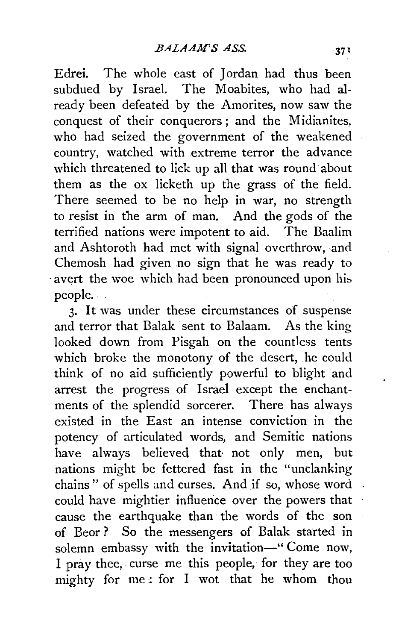Edrei. The whole east of Jordan had thus been subdued by Israel. The Moabites, who had already been defeated by the Amorites, now saw the conquest of their conquerors ; and the Midianites, who had seized the government of the weakened country, watched with extreme terror the advance which threatened to lick up all that was round about them as the ox licketh up the grass of the field. There seemed to be no help in war, no strength to resist in the arm of man. And the gods of the terrified nations were impotent to aid. The Baalim and Ashtoroth had met with signal overthrow, and Chemosh had given no sign that he was ready to avert the woe which had been pronounced upon his people.

3. It was under these circumstances of suspense and terror that Balak sent to Balaam. As the king looked down from Pisgah on the countless tents which broke the monotony of the desert, he could think of no aid sufficiently powerful to blight and arrest the progress of Israel except the enchantments of the splendid sorcerer. There has always existed in the East an intense conviction in the potency of articulated words, and Semitic nations have always believed that not only men, but nations might be fettered fast in the "unclanking chains " of spells and curses. And if so, whose word could have mightier influence over the powers that cause the earthquake than the words of the son of Beor ? So the messengers of Balak started in solemn embassy with the invitation-" Come now, I pray thee, curse me this people,- for they are too mighty for  $me$ : for I wot that he whom thou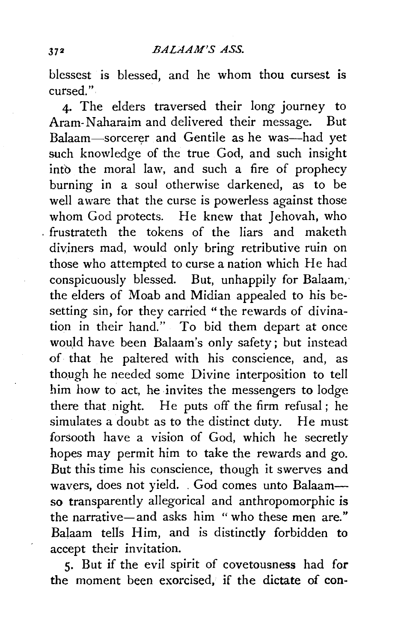blessest is blessed, and he whom thou cursest is cursed."

4· The elders traversed their long journey to Aram-Naharaim and delivered their message. But Balaam-sorcerer and Gentile as he was-had yet such knowledge of the true God, and such insight into the moral law, and such a fire of prophecy burning in a soul otherwise darkened, as to be well aware that the curse is powerless against those whom God protects. He knew that Jehovah, who . frustrateth the tokens of the liars and maketh diviners mad, would only bring retributive ruin on those who attempted to curse a nation which He had conspicuously blessed. But, unhappily for Balaam, · the elders of Moab and Midian appealed to his besetting sin, for they carried "the rewards of divination in their hand." To bid them depart at once would have been Balaam's only safety; but instead of that he paltered with his conscience, and, as though he needed some Divine interposition to tell him how to act, he invites the messengers to lodge there that night. He puts off the firm refusal; he simulates a doubt as to the distinct duty. He must forsooth have a vision of God, which he secretly hopes may permit him to take the rewards and go. But this time his conscience, though it swerves and wavers, does not yield. . God comes unto Balaamso transparently allegorical and anthropomorphic is the narrative-and asks him "who these men are." Balaam tells Him, and is distinctly forbidden to accept their invitation.

5· But if the evil spirit of covetousness had for the moment been exorcised, if the dictate of con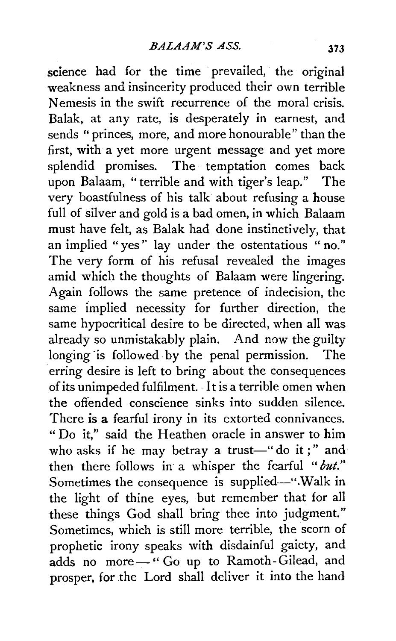science had for the time prevailed, the original weakness and insincerity produced their own terrible Nemesis in the swift recurrence of the moral crisis. Balak, at any rate, is desperately in earnest, and sends "princes, more, and more honourable" than the first, with a yet more urgent message and yet more splendid promises. The temptation comes back upon Balaam, "terrible and with tiger's leap." The very boastfulness of his talk about refusing a house full of silver and gold is a bad omen, in which Balaam must have felt, as Balak had done instinctively, that an implied "yes'' lay under the ostentatious " no." The very form of his refusal revealed the images amid which the thoughts of Balaam were lingering. Again follows the same pretence of indecision, the same implied necessity for further direction, the same hypocritical desire to be directed, when all was already so unmistakably plain. And now the guilty longing is followed by the penal permission. The erring desire is left to bring about the consequences of its unimpeded fulfilment. · It is a terrible omen when the offended conscience sinks into sudden silence. There is a fearful irony in its extorted connivances. "Do it," said the Heathen oracle in answer to him who asks if he may betray a trust-"do it;" and then there follows in a whisper the fearful *"but."*  Sometimes the consequence is supplied-". Walk in the light of thine eyes, but remember that for all these things God shall bring thee into judgment." Sometimes, which is still more terrible, the scorn of prophetic irony speaks with disdainful gaiety, and adds no more - "Go up to Ramoth-Gilead, and prosper, for the Lord shall deliver it into the hand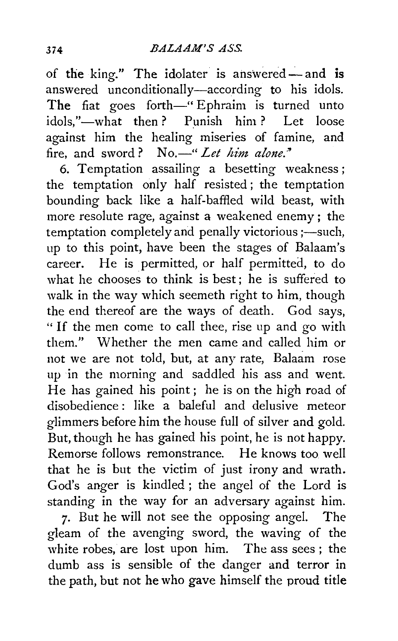of the king." The idolater is answered-and is answered unconditionally-according to his idols. The fiat goes forth-" Ephraim is turned unto idols."-what then? Punish him? Let loose against him the healing miseries of famine, and fire, and sword? No.—" *Let him alone.*"

6. Temptation assailing a besetting weakness; the temptation only half resisted; the temptation bounding back like a half-baffled wild beast, with more resolute rage, against a weakened enemy ; the  $t$ emptation completely and penally victorious ;—such, up to this point, have been the stages of Balaam's career. He is permitted, or half permitted, to do what he chooses to think is best; he is suffered to walk in the way which seemeth right to him, though the end thereof are the ways of death. God says, " If the men come to call thee, rise up and go with them." Whether the men came and called him or not we are not told, but, at any rate, Balaam rose up in the morning and saddled his ass and went. He has gained his point; he is on the high road of disobedience : like a baleful and delusive meteor glimmers before him the house full of silver and gold. But, though he has gained his point, he is not happy. Remorse follows remonstrance. He knows too well that he is but the victim of just irony and wrath. God's anger is kindled; the angel of the Lord is standing in the way for an adversary against him.

7· But he will not see the opposing angel. The gleam of the avenging sword, the waving of the white robes, are lost upon him. The ass sees ; the dumb ass is sensible of the danger and terror in the path, but not he who gave himself the proud title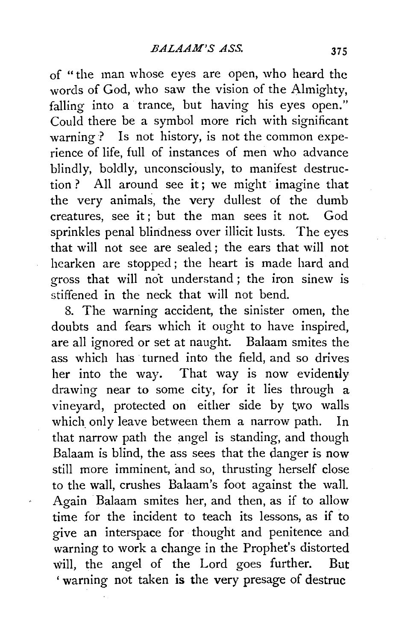of "the man whose eyes are open, who heard the words of God, who saw the vision of the Almighty, falling into a trance, but having his eyes open." Could there be a symbol more rich with significant warning ? Is not history, is not the common experience of life, full of instances of men who advance blindly, boldly, unconsciously, to manifest destruction ? All around see it; we might imagine that the very animals, the very dullest of the dumb creatures, see it ; but the man sees it not. God sprinkles penal blindness over illicit lusts. The eyes that will not see are sealed ; the ears that will not hearken are stopped ; the heart is made hard and gross that will not understand; the iron sinew is stiffened in the neck that will not bend.

8. The warning accident, the sinister omen, the doubts and fears which it ought to have inspired, are all ignored or set at naught. Balaam smites the ass which has· turned into the field, and so drives her into the way. That way is now evidently drawing near to some city, for it lies through a vineyard, protected on either side by two walls which only leave between them a narrow path. In that narrow path the angel is standing, and though Balaam is blind, the ass sees that the danger is now still more imminent, and so, thrusting herself close to the wall, crushes Balaam's foot against the wall. Again Balaam smites her, and then, as if to allow time for the incident to teach its lessons, as if to give an interspace for thought and penitence and warning to work a change in the Prophet's distorted will, the angel of the Lord goes further. But ' warning not taken is the very presage of destruc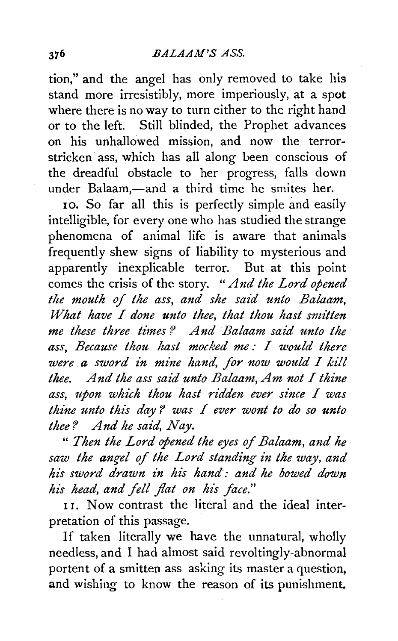tion," and the angel has only removed to take his stand more irresistibly, more imperiously, at a spot where there is no way to turn either to the right hand or to the left. Still blinded, the Prophet advances on his unhallowed mission, and now the terrorstricken ass, which has all along been conscious of the dreadful obstacle to her progress, falls down under Balaam,—and a third time he smites her.

10. So far all this is perfectly simple and easily intelligible, for every one who has studied the strange phenomena of animal life is aware that animals frequently shew signs of liability to mysterious and apparently inexplicable terror. But at this point comes the crisis of the story. "And the Lord opened the mouth of the ass, and she said unto Balaam, *What have I done unto thee, that thou hast smitten me these three times? And Balaam said unto the ass, Because thou hast mocked me : I would there were* **a** sword in mine hand, for now would I kill *thee. And the ass said unto Balaam, Am not I thine* ass, upon which thou hast ridden ever since I was *thine unto this day? was I ever wont to do so unto thee? And he said, Nay.* 

" *Then the Lord opened the eyes of Balaam, and he*  saw the angel of the Lord standing in the way, and *his sword drawn in hi's hand·: and he bowed down*  his head, and fell flat on his face."

11. Now contrast the literal and the ideal interpretation of this passage.

If taken literally we have the unnatural, wholly needless, and I had almost said revoltingly-abnormal portent of a smitten ass asking its master a question, and wishing to know the reason of its punishment.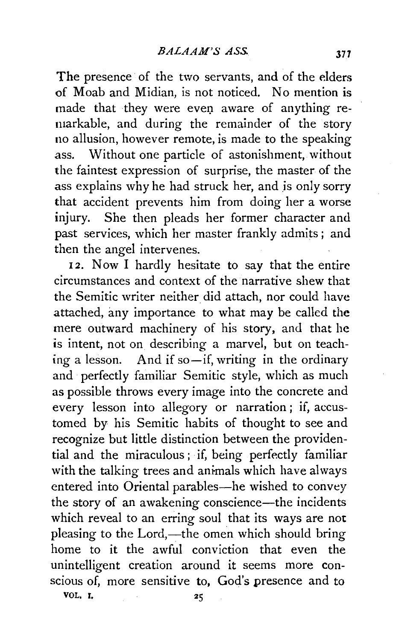The presence of the two servants, and of the elders of Moab and Midian, is not noticed. No mention is made that they were even aware of anything remarkable, and during the remainder of the story no allusion, however remote, is made to the speaking ass. Without one particle of astonishment, without the faintest expression of surprise, the master of the ass explains why he had struck her, and is only sorry that accident prevents him from doing her a worse injury. She then pleads her former character and past services, which her master frankly admits; and then the angel intervenes.

12. Now I hardly hesitate to say that the entire circumstances and context of the narrative shew that the Semitic writer neither did attach, nor could have attached, any importance to what may be called the mere outward machinery of his story, and that he is intent, not on describing a marvel, but on teaching a lesson. And if so—if, writing in the ordinary and perfectly familiar Semitic style, which as much as possible throws every image into the concrete and every lesson into allegory or narration ; if, accustomed by his Semitic habits of thought to see and recognize but little distinction between the providential and the miraculous ; if, being perfectly familiar with the talking trees and animals which have always entered into Oriental parables-he wished to convey the story of an awakening conscience—the incidents which reveal to an erring soul that its ways are not pleasing to the Lord,—the omen which should bring home to it the awful conviction that even the unintelligent creation around it seems more conscious of, more sensitive to, God's presence and to VOL. I. 25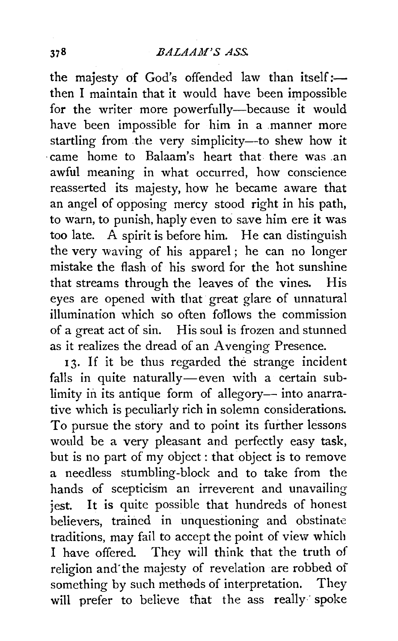the majesty of God's offended law than itself:then I maintain that it would have been impossible for the writer more powerfully-because it would have been impossible for him in a manner more startling from the very simplicity-to shew how it ·came home to Balaam's heart that there was .an awful meaning in what occurred, how conscience reasserted its majesty, how he became aware that an angel of opposing mercy stood right in his path, to warn, to punish, haply even to save him ere it was too late. A spirit is before him. He can distinguish the very waving of his apparel; he can no longer mistake the flash of his sword for the hot sunshine that streams through the leaves of the vines. His eyes are opened with that great glare of unnatural illumination which so often fofiows the commission of a great act of sin. His soul is frozen and stunned as it realizes the dread of an Avenging Presence.

13. If it be thus regarded the strange incident falls in quite naturally—even with a certain sublimity in its antique form of allegory- into anarrative which is peculiarly rich in solemn considerations. To pursue the story and to point its further lessons would be a very pleasant and perfectly easy task, but is no part of my object : that object is to remove a needless stumbling-block and to take from the hands of scepticism an irreverent and unavailing jest. It is quite possible that hundreds of honest believers, trained in unquestioning and obstinate traditions, may fail to accept the point of view which I have offered. They will think that the truth of religion and"the majesty of revelation are robbed of something by such methods of interpretation. They will prefer to believe that the ass really spoke